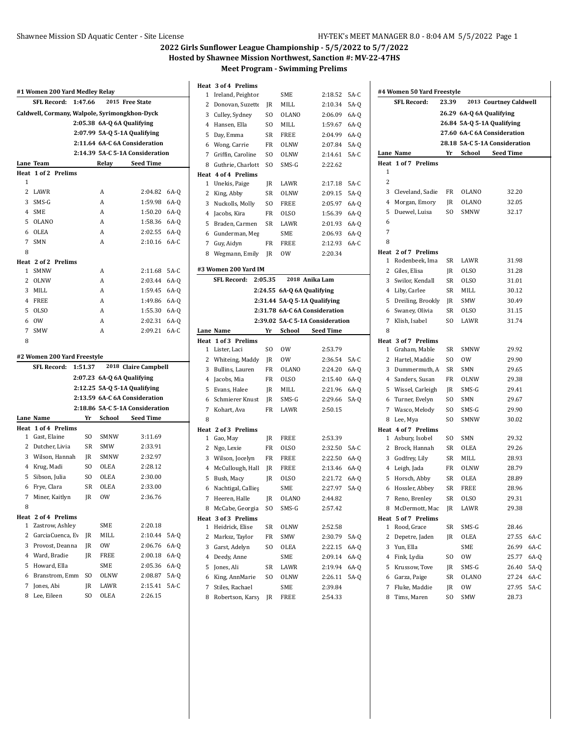## **2022 Girls Sunflower League Championship - 5/5/2022 to 5/7/2022 Hosted by Shawnee Mission Northwest, Sanction #: MV-22-47HS**

**Meet Program - Swimming Prelims**

|   | #1 Women 200 Yard Medley Relay                |         |             |                                 |        |                | Heat 3 of 4 Prelims<br>1 Ireland, Peightor |
|---|-----------------------------------------------|---------|-------------|---------------------------------|--------|----------------|--------------------------------------------|
|   | <b>SFL Record:</b>                            | 1:47.66 |             | 2015 Free State                 |        |                | 2 Donovan, Suzette                         |
|   | Caldwell, Cormany, Walpole, Syrimongkhon-Dyck |         |             |                                 |        |                | 3 Culley, Sydney                           |
|   |                                               |         |             | 2:05.38 6A-Q 6A Qualifying      |        |                | 4 Hansen, Ella                             |
|   |                                               |         |             | 2:07.99 5A Q 5-1A Qualifying    |        |                | 5 Day, Emma                                |
|   |                                               |         |             | 2:11.64 6A-C 6A Consideration   |        |                | 6 Wong, Carrie                             |
|   |                                               |         |             | 2:14.39 5A C 5-1A Consideration |        |                |                                            |
|   | Lane Team                                     |         | Relay       | <b>Seed Time</b>                |        |                | 7 Griffin, Caroline                        |
|   | Heat 1 of 2 Prelims                           |         |             |                                 |        |                | 8 Guthrie, Charlott                        |
| 1 |                                               |         |             |                                 |        |                | Heat 4 of 4 Prelims<br>1 Unekis, Paige     |
| 2 | LAWR                                          |         | А           | 2:04.82                         | $6A-Q$ |                | 2 King, Abby                               |
|   | 3 SMS-G                                       |         | A           | 1:59.98                         | 6A-Q   |                | 3 Nuckolls, Molly                          |
|   | 4 SME                                         |         | А           | 1:50.20                         | 6A-0   |                |                                            |
|   | 5 OLANO                                       |         | A           | 1:58.36                         | 6A-Q   |                | 4 Jacobs, Kira                             |
| 6 | OLEA                                          |         | А           | 2:02.55                         | 6A-Q   |                | 5 Braden, Carmen                           |
| 7 | <b>SMN</b>                                    |         | А           | 2:10.16                         | 6A-C   |                | 6 Gunderman, Meg                           |
| 8 |                                               |         |             |                                 |        | 7              | Guy, Aidyn                                 |
|   |                                               |         |             |                                 |        |                | 8 Wegmann, Emily                           |
| 1 | Heat 2 of 2 Prelims<br>SMNW                   |         | А           | 2:11.68                         | 5A-C   |                | #3 Women 200 Yard I                        |
|   | 2 OLNW                                        |         | А           | 2:03.44 6A-Q                    |        |                | <b>SFL Record:</b><br>2:                   |
|   | 3 MILL                                        |         | А           | 1:59.45                         | 6A-Q   |                | 2:                                         |
|   | 4 FREE                                        |         | А           | 1:49.86                         |        |                | 2:                                         |
|   |                                               |         |             |                                 | 6A-Q   |                |                                            |
|   | 5 OLSO                                        |         | А           | 1:55.30                         | 6A-Q   |                | 2:                                         |
|   | 6 OW                                          |         | А           | 2:02.31                         | 6A-Q   |                | 2:                                         |
| 7 | <b>SMW</b>                                    |         | А           | 2:09.21                         | 6A-C   |                | Lane Name                                  |
| 8 |                                               |         |             |                                 |        |                | Heat 1 of 3 Prelims<br>1 Lister, Laci      |
|   | #2 Women 200 Yard Freestyle                   |         |             |                                 |        |                | 2 Whiteing, Maddy                          |
|   | SFL Record:                                   | 1:51.37 |             | 2018 Claire Campbell            |        |                | 3 Bullins, Lauren                          |
|   |                                               |         |             | $2:07.23$ 6A Q 6A Qualifying    |        |                |                                            |
|   |                                               |         |             | 2:12.25 5A Q 5-1A Qualifying    |        |                | 4 Jacobs, Mia                              |
|   |                                               |         |             | 2:13.59 6A-C 6A Consideration   |        |                | 5 Evans, Halee                             |
|   |                                               |         |             | 2:18.86 5A-C 5-1A Consideration |        |                | 6 Schmierer Knust                          |
|   | Lane Name                                     | Yr      | School      | <b>Seed Time</b>                |        | 7              | Kohart, Ava                                |
|   | Heat 1 of 4 Prelims                           |         |             |                                 |        | 8              |                                            |
|   | 1 Gast, Elaine                                | SO.     | SMNW        | 3:11.69                         |        |                | Heat 2 of 3 Prelims                        |
|   | 2 Dutcher, Livia                              | SR      | SMW         | 2:33.91                         |        |                | 1 Gao, May                                 |
|   | 3 Wilson, Hannah                              | JR      | SMNW        | 2:32.97                         |        |                | 2 Ngo, Lexie                               |
|   | 4 Krug, Madi                                  | SO.     | <b>OLEA</b> | 2:28.12                         |        |                | 3 Wilson, Jocelyn                          |
|   | 5 Sibson, Julia                               | SO      | OLEA        | 2:30.00                         |        |                | 4 McCullough, Hall                         |
|   | 6 Frye, Clara                                 | SR      | <b>OLEA</b> | 2:33.00                         |        |                | 5 Bush, Macy                               |
|   |                                               |         |             |                                 |        |                | 6 Nachtigal, Callieg                       |
|   | 7 Miner, Kaitlyn                              | JR      | 0W          | 2:36.76                         |        | 7              | Heeren, Halle                              |
| 8 |                                               |         |             |                                 |        | 8              | McCabe, Georgia                            |
|   | Heat 2 of 4 Prelims                           |         |             |                                 |        |                | Heat 3 of 3 Prelims                        |
| 1 | Zastrow, Ashley                               |         | SME         | 2:20.18                         |        | $\mathbf{1}$   | Heidrick, Elise                            |
|   | 2 GarciaCuenca, Ev                            | JR      | MILL        | 2:10.44                         | 5A-Q   | 2              | Marksz, Taylor                             |
|   | 3 Provost, Deanna                             | JR      | 0W          | 2:06.76                         | 6A-Q   |                | 3 Garst, Adelyn                            |
|   | 4 Ward, Bradie                                | JR      | FREE        | 2:00.18                         | 6A-Q   | $\overline{4}$ | Deedy, Anne                                |
|   | 5 Howard, Ella                                |         | SME         | 2:05.36                         | 6A-Q   | 5              | Jones, Ali                                 |
| 6 | Branstrom, Emm                                | SO      | OLNW        | 2:08.87                         | 5A-Q   | 6              | King, AnnMarie                             |
| 7 | Jones, Abi                                    | JR      | LAWR        | 2:15.41                         | $5A-C$ | 7              | Stiles, Rachael                            |
| 8 | Lee, Eileen                                   | SO      | OLEA        | 2:26.15                         |        | 8              | Robertson, Karsy                           |

| 1         | Ireland, Peightor              |         | SME          | 2:18.52                         | $5A-C$ |
|-----------|--------------------------------|---------|--------------|---------------------------------|--------|
| 2         | Donovan, Suzette               | JR      | MILL         | 2:10.34                         | $5A-Q$ |
| 3         | Culley, Sydney                 | SO      | <b>OLANO</b> | 2:06.09                         | $6A-Q$ |
| 4         | Hansen, Ella                   | SO.     | MILL         | 1:59.67                         | $6A-Q$ |
| 5         | Day, Emma                      | SR      | FREE         | 2:04.99                         | $6A-Q$ |
| 6         | Wong, Carrie                   | FR      | <b>OLNW</b>  | 2:07.84                         | $5A-0$ |
| 7         | Griffin, Caroline              | SO.     | <b>OLNW</b>  | 2:14.61                         | $5A-C$ |
| 8         | Guthrie, Charlott              | SO.     | SMS-G        | 2:22.62                         |        |
|           | Heat 4 of 4 Prelims            |         |              |                                 |        |
| 1         | Unekis, Paige                  | JR      | LAWR         | 2:17.18                         | $5A-C$ |
| 2         | King, Abby                     | SR      | <b>OLNW</b>  | 2:09.15                         | $5A-Q$ |
| 3         | Nuckolls, Molly                | SO.     | FREE         | 2:05.97                         | $6A-Q$ |
| 4         | Jacobs, Kira                   | FR      | <b>OLSO</b>  | 1:56.39                         | $6A-0$ |
| 5         | Braden, Carmen                 | SR      | LAWR         | 2:01.93                         | $6A-0$ |
| 6         | Gunderman, Meg                 |         | SME          | 2:06.93                         | $6A-Q$ |
| 7         | Guy, Aidyn                     | FR      | FREE         | 2:12.93                         | 6A-C   |
| 8         | Wegmann, Emily                 | JR      | 0W           | 2:20.34                         |        |
|           |                                |         |              |                                 |        |
|           | #3 Women 200 Yard IM           |         |              |                                 |        |
|           | <b>SFL Record:</b>             | 2:05.35 |              | 2018 Anika Lam                  |        |
|           |                                |         |              | 2:24.55 6A-Q 6A Qualifying      |        |
|           |                                |         |              | 2:31.44 5A-Q 5-1A Qualifying    |        |
|           |                                |         |              | 2:31.78 6A-C 6A Consideration   |        |
|           |                                |         |              | 2:39.02 5A-C 5-1A Consideration |        |
|           | Lane Name                      | Yr      | School       | <b>Seed Time</b>                |        |
| Heat<br>1 | 1 of 3 Prelims<br>Lister, Laci | SO.     | 0W           | 2:53.79                         |        |
| 2         | Whiteing, Maddy                | JR      | 0W           | 2:36.54                         | $5A-C$ |
| 3         | Bullins, Lauren                | FR      | <b>OLANO</b> | 2:24.20                         | $6A-Q$ |
| 4         | Jacobs, Mia                    | FR      | <b>OLSO</b>  | 2:15.40                         | $6A-Q$ |
| 5         | Evans, Halee                   | JR      | MILL         | 2:21.96                         | $6A-Q$ |
| 6         | Schmierer Knust                | JR      | SMS-G        | 2:29.66                         | $5A-Q$ |
| 7         | Kohart, Ava                    | FR      | LAWR         | 2:50.15                         |        |
| 8         |                                |         |              |                                 |        |
|           | Heat 2 of 3 Prelims            |         |              |                                 |        |
| 1         | Gao, May                       | JR      | FREE         | 2:53.39                         |        |
| 2         | Ngo, Lexie                     | FR      | <b>OLSO</b>  | 2:32.50                         | $5A-C$ |
| 3         | Wilson, Jocelyn                | FR      | FREE         | 2:22.50                         | $6A-0$ |
| 4         | McCullough, Hall               | JR      | FREE         | 2:13.46                         | 6A-Q   |
| 5         | Bush, Macy                     | JR      | <b>OLSO</b>  | 2:21.72                         | $6A-Q$ |
| 6         | Nachtigal, Callieg             |         | <b>SME</b>   | 2:27.97                         | $5A-Q$ |
| 7         | Heeren, Halle                  | JR      | <b>OLANO</b> | 2:44.82                         |        |
| 8         | McCabe, Georgia                | SO.     | SMS-G        | 2:57.42                         |        |
|           | Heat 3 of 3 Prelims            |         |              |                                 |        |
| 1         | Heidrick, Elise                | SR      | <b>OLNW</b>  | 2:52.58                         |        |
| 2         | Marksz, Taylor                 | FR      | SMW          | 2:30.79                         | $5A-Q$ |
| 3         | Garst, Adelyn                  | SO      | OLEA         | 2:22.15                         | 6A-Q   |
| 4         |                                |         |              | 2:09.14                         | $6A-Q$ |
| 5         | Deedy, Anne                    |         | SME          |                                 |        |
|           | Jones, Ali                     | SR      | LAWR         | 2:19.94                         | $6A-Q$ |
| 6         | King, AnnMarie                 | SO      | OLNW         | 2:26.11                         | $5A-Q$ |
| 7         | Stiles, Rachael                |         | SME          | 2:39.84                         |        |
| 8         | Robertson, Karsy               | JR      | FREE         | 2:54.33                         |        |

|   | <b>SFL Record:</b>         | 23.39 |                          | 2013 Courtney Caldwell        |
|---|----------------------------|-------|--------------------------|-------------------------------|
|   |                            |       | 26.29 6A-Q 6A Qualifying |                               |
|   |                            |       |                          | 26.84 5A-Q 5-1A Qualifying    |
|   |                            |       |                          | 27.60 6A-C 6A Consideration   |
|   |                            |       |                          | 28.18 5A-C 5-1A Consideration |
|   | Lane Name                  | Yr    | School                   | <b>Seed Time</b>              |
|   | <b>Heat 1 of 7 Prelims</b> |       |                          |                               |
| 1 |                            |       |                          |                               |
| 2 |                            |       |                          |                               |
| 3 | Cleveland, Sadie           | FR    | <b>OLANO</b>             | 32.20                         |
| 4 | Morgan, Emory              | JR    | <b>OLANO</b>             | 32.05                         |
| 5 | Duewel, Luisa              | SO    | SMNW                     | 32.17                         |
| 6 |                            |       |                          |                               |
| 7 |                            |       |                          |                               |
| 8 |                            |       |                          |                               |
|   | Heat 2 of 7 Prelims        |       |                          |                               |
| 1 | Rodenbeek, Ima             | SR    | LAWR                     | 31.98                         |
| 2 | Giles, Elisa               | JR    | 0LSO                     | 31.28                         |
| 3 | Swilor, Kendall            | SR    | 0LSO                     | 31.01                         |
| 4 | Liby, Carlee               | SR    | MILL                     | 30.12                         |
| 5 | Dreiling, Brookly          | JR    | SMW                      | 30.49                         |
| 6 | Swaney, Olivia             | SR    | <b>OLSO</b>              | 31.15                         |
| 7 | Klish, Isabel              | SO    | LAWR                     | 31.74                         |
| 8 |                            |       |                          |                               |
|   | Heat 3 of 7 Prelims        |       |                          |                               |
| 1 | Graham, Mable              | SR    | SMNW                     | 29.92                         |
| 2 | Hartel, Maddie             | SO    | 0W                       | 29.90                         |
| 3 | Dummermuth, A              | SR    | SMN                      | 29.65                         |
| 4 | Sanders, Susan             | FR    | <b>OLNW</b>              | 29.38                         |
| 5 | Wissel, Carleigh           | JR    | SMS-G                    | 29.41                         |
| 6 | Turner, Evelyn             | SO.   | <b>SMN</b>               | 29.67                         |
| 7 | Wasco, Melody              | SO    | SMS-G                    | 29.90                         |
| 8 | Lee, Mya                   | SO    | <b>SMNW</b>              | 30.02                         |
|   | Heat 4 of 7 Prelims        |       |                          |                               |
| 1 | Asbury, Isobel             | SO    | SMN                      | 29.32                         |
| 2 | Brock, Hannah              | SR    | OLEA                     | 29.26                         |
| 3 | Godfrey, Lily              | SR    | MILL                     | 28.93                         |
| 4 | Leigh, Jada                | FR    | <b>OLNW</b>              | 28.79                         |
| 5 | Horsch, Abby               | SR    | OLEA                     | 28.89                         |
| 6 | Hossler, Abbey             | SR    | <b>FREE</b>              | 28.96                         |
| 7 | Reno, Brenley              | SR    | OLSO                     | 29.31                         |
| 8 | McDermott, Mac             | JR    | LAWR                     | 29.38                         |
|   | Heat 5 of 7 Prelims        |       |                          |                               |
| 1 | Rood, Grace                | SR    | SMS-G                    | 28.46                         |
| 2 | Depetre, Jaden             | JR    | OLEA                     | 27.55<br>6A-C                 |
| 3 | Yun, Ella                  |       | SME                      | 6A-C<br>26.99                 |
| 4 | Fink, Lydia                | SO    | 0W                       | 6A-Q<br>25.77                 |
|   |                            |       |                          | 26.40                         |
| 5 | Krussow, Tove              | JR    | SMS-G                    | $5A-Q$                        |
| 6 | Garza, Paige               | SR    | <b>OLANO</b>             | 6A-C<br>27.24                 |
| 7 | Fluke, Maddie              | JR    | 0W                       | $5A-C$<br>27.95               |
| 8 | Tims, Maren                | SO.   | SMW                      | 28.73                         |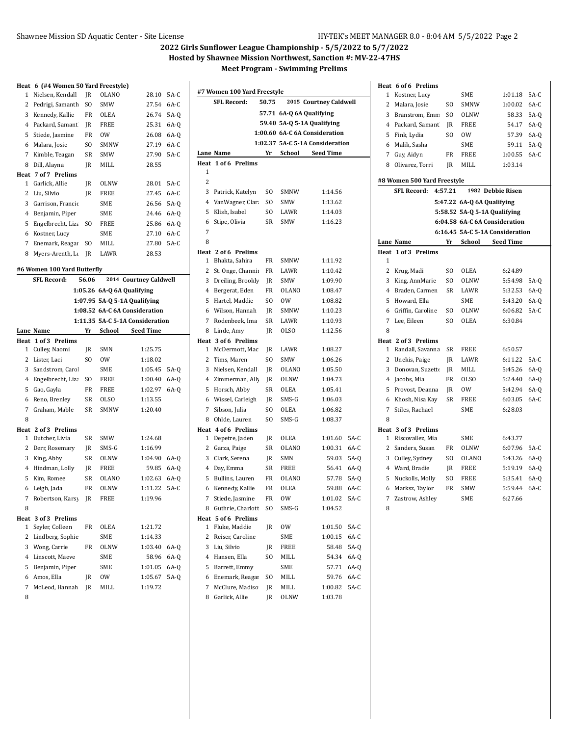## **2022 Girls Sunflower League Championship - 5/5/2022 to 5/7/2022**

## **Hosted by Shawnee Mission Northwest, Sanction #: MV-22-47HS**

**Meet Program - Swimming Prelims**

|   | Heat 6 (#4 Women 50 Yard Freestyle) |                |                |                                 |            |                | #7 Women 100 Yard Freestyle |                |                |                                 |            |              | Heat 6 of 6 Prelims         |                |                |                                 |            |
|---|-------------------------------------|----------------|----------------|---------------------------------|------------|----------------|-----------------------------|----------------|----------------|---------------------------------|------------|--------------|-----------------------------|----------------|----------------|---------------------------------|------------|
|   | 1 Nielsen, Kendall                  | JR             | <b>OLANO</b>   | 28.10                           | 5A-C       |                |                             |                |                |                                 |            |              | 1 Kostner, Lucy             |                | SME            | 1:01.18                         | 5A-C       |
|   | 2 Pedrigi, Samanth                  | <sub>SO</sub>  | <b>SMW</b>     | 27.54                           | 6A-C       |                | <b>SFL Record:</b>          | 50.75          |                | 2015 Courtney Caldwell          |            | 2            | Malara, Josie               | S <sub>O</sub> | SMNW           | 1:00.02                         | 6A-C       |
|   | 3 Kennedy, Kallie                   | FR             | OLEA           | 26.74 5A-Q                      |            |                |                             |                |                | 57.71 6A Q 6A Qualifying        |            | 3            | Branstrom, Emm              | - SO           | <b>OLNW</b>    |                                 | 58.33 5A-Q |
|   | 4 Packard, Samant                   | JR             | FREE           | 25.31 6A-Q                      |            |                |                             |                |                | 59.40 5A Q 5 - 1A Qualifying    |            | 4            | Packard, Samant             | JR             | <b>FREE</b>    |                                 | 54.17 6A-Q |
| 5 | Stiede, Jasmine                     | FR             | 0 <sub>W</sub> | 26.08                           | 6A-Q       |                |                             |                |                | 1:00.60 6A-C 6A Consideration   |            | 5            | Fink, Lydia                 | S <sub>O</sub> | 0 <sub>W</sub> | 57.39                           | 6A-Q       |
|   | 6 Malara, Josie                     | S <sub>O</sub> | SMNW           | 27.19                           | 6A-C       |                |                             |                |                | 1:02.37 5A C 5-1A Consideration |            | 6            | Malik, Sasha                |                | <b>SME</b>     | 59.11                           | $5A-Q$     |
|   | 7 Kimble, Teagan                    | SR             | <b>SMW</b>     | 27.90                           | 5A-C       |                | Lane Name                   | Yr             | School         | <b>Seed Time</b>                |            | 7            | Guy, Aidyn                  | FR             | FREE           | 1:00.55 6A-C                    |            |
|   | 8 Dill, Alayna                      | JR             | MILL           | 28.55                           |            |                | Heat 1 of 6 Prelims         |                |                |                                 |            | 8            | Olivarez, Torri             | JR             | MILL           | 1:03.14                         |            |
|   | Heat 7 of 7 Prelims                 |                |                |                                 |            | $\mathbf{1}$   |                             |                |                |                                 |            |              |                             |                |                |                                 |            |
| 1 | Garlick, Allie                      | JR             | <b>OLNW</b>    | 28.01                           | $5A-C$     | $\overline{2}$ |                             |                |                |                                 |            |              | #8 Women 500 Yard Freestyle |                |                |                                 |            |
|   | 2 Liu, Silvio                       | <b>IR</b>      | <b>FREE</b>    | 27.45                           | 6A-C       |                | 3 Patrick, Katelyn          | S <sub>0</sub> | SMNW           | 1:14.56                         |            |              | <b>SFL Record:</b>          | 4:57.21        |                | 1982 Debbie Risen               |            |
|   | 3 Garrison, Francie                 |                | SME            | 26.56                           | 5A-Q       |                | 4 VanWagner, Clar: SO       |                | <b>SMW</b>     | 1:13.62                         |            |              |                             |                |                | 5:47.22 6A-Q 6A Qualifying      |            |
|   | 4 Benjamin, Piper                   |                | SME            | 24.46                           | 6A-Q       |                | 5 Klish. Isabel             | SO.            | LAWR           | 1:14.03                         |            |              |                             |                |                | 5:58.52 5A 0 5-1A Qualifying    |            |
| 5 | Engelbrecht, Liza SO                |                | <b>FREE</b>    | 25.86                           | 6A-Q       |                | 6 Stipe, Olivia             | SR             | SMW            | 1:16.23                         |            |              |                             |                |                | 6:04.58 6A-C 6A Consideration   |            |
| 6 | Kostner, Lucy                       |                | SME            | 27.10                           | 6A-C       | 7              |                             |                |                |                                 |            |              |                             |                |                | 6:16.45 5A C 5 1A Consideration |            |
|   | 7 Enemark, Reagai                   | SO.            | MILL           | 27.80                           | 5A-C       | 8              |                             |                |                |                                 |            |              | Lane Name                   | Yr             | School         | <b>Seed Time</b>                |            |
|   | 8 Myers-Arenth, L1 JR               |                | LAWR           | 28.53                           |            |                | Heat 2 of 6 Prelims         |                |                |                                 |            |              | Heat 1 of 3 Prelims         |                |                |                                 |            |
|   |                                     |                |                |                                 |            |                | 1 Bhakta, Sahira            | FR             | SMNW           | 1:11.92                         |            | $\mathbf{1}$ |                             |                |                |                                 |            |
|   | #6 Women 100 Yard Butterfly         |                |                |                                 |            |                | 2 St. Onge, Channii FR      |                | LAWR           | 1:10.42                         |            |              | 2 Krug, Madi                | S <sub>O</sub> | OLEA           | 6:24.89                         |            |
|   | <b>SFL Record:</b>                  | 56.06          |                | 2014 Courtney Caldwell          |            |                | 3 Dreiling, Brookly         | JR             | SMW            | 1:09.90                         |            |              | 3 King, AnnMarie            | S <sub>0</sub> | <b>OLNW</b>    | 5:54.98 5A-Q                    |            |
|   |                                     |                |                | $1:05.26$ 6A-Q 6A Qualifying    |            |                | 4 Bergerat, Eden            | FR             | <b>OLANO</b>   | 1:08.47                         |            | 4            | Braden, Carmen              | SR             | LAWR           | 5:32.53                         | 6A-Q       |
|   |                                     |                |                | 1:07.95 5A Q 5 1A Qualifying    |            | 5              | Hartel, Maddie              | S <sub>0</sub> | 0 <sub>W</sub> | 1:08.82                         |            | 5            | Howard, Ella                |                | SME            | 5:43.20                         | 6A-Q       |
|   |                                     |                |                | 1:08.52 6A-C 6A Consideration   |            | 6              | Wilson, Hannah              | JR.            | SMNW           | 1:10.23                         |            | 6            | Griffin, Caroline           | S <sub>O</sub> | OLNW           | 6:06.82 5A-C                    |            |
|   |                                     |                |                | 1:11.35 5A C 5 1A Consideration |            |                | 7 Rodenbeek, Ima            | SR             | LAWR           | 1:10.93                         |            | 7            | Lee, Eileen                 | S <sub>O</sub> | OLEA           | 6:30.84                         |            |
|   | Lane Name                           | Yr             | <b>School</b>  | <b>Seed Time</b>                |            |                | 8 Linde, Amy                | JR.            | <b>OLSO</b>    | 1:12.56                         |            | 8            |                             |                |                |                                 |            |
|   | Heat 1 of 3 Prelims                 |                |                |                                 |            |                | Heat 3 of 6 Prelims         |                |                |                                 |            |              | Heat 2 of 3 Prelims         |                |                |                                 |            |
|   | 1 Culley, Naomi                     | JR             | <b>SMN</b>     | 1:25.75                         |            |                | 1 McDermott, Mac            | JR             | LAWR           | 1:08.27                         |            | 1            | Randall, Savanna            | SR             | <b>FREE</b>    | 6:50.57                         |            |
|   | 2 Lister, Laci                      | S <sub>O</sub> | <b>OW</b>      | 1:18.02                         |            |                | 2 Tims, Maren               | S <sub>0</sub> | SMW            | 1:06.26                         |            |              | 2 Unekis, Paige             | JR             | LAWR           | 6:11.22 5A-C                    |            |
|   | 3 Sandstrom, Caro                   |                | SME            | 1:05.45 5A-Q                    |            |                | 3 Nielsen, Kendall          | JR             | <b>OLANO</b>   | 1:05.50                         |            | 3            | Donovan, Suzette            | JR             | MILL           | 5:45.26                         | 6A-Q       |
|   | 4 Engelbrecht, Liza                 | -SO            | FREE           | 1:00.40                         | 6A-Q       |                | 4 Zimmerman, Ally           | JR             | <b>OLNW</b>    | 1:04.73                         |            | 4            | Jacobs, Mia                 | FR             | <b>OLSO</b>    | 5:24.40                         | 6A-Q       |
|   | 5 Gao, Gayla                        | FR             | <b>FREE</b>    | 1:02.97 6A-Q                    |            |                | 5 Horsch, Abby              | SR             | OLEA           | 1:05.41                         |            | 5            | Provost, Deanna             | JR             | 0W             | 5:42.94                         | 6A-Q       |
|   | 6 Reno, Brenley                     | SR             | <b>OLSO</b>    | 1:13.55                         |            |                | 6 Wissel, Carleigh          | JR.            | SMS-G          | 1:06.03                         |            | 6            | Khosh, Nisa Kay             | SR             | <b>FREE</b>    | 6:03.05                         | 6A-C       |
| 7 | Graham, Mable                       | SR             | SMNW           | 1:20.40                         |            |                | 7 Sibson, Julia             | SO.            | OLEA           | 1:06.82                         |            | 7            | Stiles, Rachael             |                | SME            | 6:28.03                         |            |
| 8 |                                     |                |                |                                 |            |                | 8 Ohlde, Lauren             | SO.            | SMS-G          | 1:08.37                         |            | 8            |                             |                |                |                                 |            |
|   | Heat 2 of 3 Prelims                 |                |                |                                 |            |                | Heat 4 of 6 Prelims         |                |                |                                 |            |              | Heat 3 of 3 Prelims         |                |                |                                 |            |
|   | 1 Dutcher, Livia                    | SR             | SMW            | 1:24.68                         |            |                | 1 Depetre, Jaden            | JR             | OLEA           | 1:01.60 5A-C                    |            | 1            | Riscovallez, Mia            |                | SME            | 6:43.77                         |            |
|   | 2 Derr, Rosemary                    | JR             | SMS-G          | 1:16.99                         |            |                | 2 Garza, Paige              | SR             | <b>OLANO</b>   | 1:00.31 6A-C                    |            | 2            | Sanders, Susan              | FR             | <b>OLNW</b>    | 6:07.96                         | 5A-C       |
|   | 3 King, Abby                        | SR             | <b>OLNW</b>    | 1:04.90                         | 6A-Q       |                | 3 Clark, Serena             | JR             | <b>SMN</b>     |                                 | 59.03 5A-Q | 3            | Culley, Sydney              | S <sub>O</sub> | <b>OLANO</b>   | 5:43.26                         | 6A-Q       |
|   | 4 Hindman, Lolly                    | JR             | <b>FREE</b>    | 59.85                           | 6A-Q       |                | 4 Day, Emma                 | SR             | <b>FREE</b>    |                                 | 56.41 6A-Q | 4            | Ward, Bradie                | JR             | <b>FREE</b>    | 5:19.19                         | 6A-Q       |
| 5 | Kim, Romee                          | SR             | <b>OLANO</b>   | 1:02.63                         | 6A-Q       | 5              | Bullins, Lauren             | FR             | <b>OLANO</b>   | 57.78                           | 5A-Q       | 5            | Nuckolls, Molly             | S <sub>0</sub> | FREE           | 5:35.41                         | 6A-Q       |
|   | 6 Leigh, Jada                       | FR             | OLNW           | 1:11.22 5A-C                    |            |                | 6 Kennedy, Kallie           | FR             | OLEA           | 59.88 6A-C                      |            |              | 6 Marksz, Taylor            | FR             | <b>SMW</b>     | 5:59.44 6A-C                    |            |
|   | 7 Robertson, Karsy                  | JR             | FREE           | 1:19.96                         |            |                | 7 Stiede, Jasmine           | ${\rm FR}$     | 0 <sub>W</sub> | 1:01.02 5A-C                    |            |              | 7 Zastrow, Ashley           |                | SME            | 6:27.66                         |            |
| 8 |                                     |                |                |                                 |            |                | 8 Guthrie, Charlott         | <sub>SO</sub>  | SMS-G          | 1:04.52                         |            | 8            |                             |                |                |                                 |            |
|   | Heat 3 of 3 Prelims                 |                |                |                                 |            |                | Heat 5 of 6 Prelims         |                |                |                                 |            |              |                             |                |                |                                 |            |
|   | 1 Seyler, Colleen                   | FR             | OLEA           | 1:21.72                         |            |                | 1 Fluke, Maddie             | JR             | 0W             | 1:01.50 5A-C                    |            |              |                             |                |                |                                 |            |
|   | 2 Lindberg, Sophie                  |                | SME            | 1:14.33                         |            |                | 2 Reiser, Caroline          |                | SME            | 1:00.15 6A-C                    |            |              |                             |                |                |                                 |            |
|   | 3 Wong, Carrie                      | FR             | OLNW           | 1:03.40 6A-Q                    |            |                | 3 Liu, Silvio               | JR             | FREE           |                                 | 58.48 5A-Q |              |                             |                |                |                                 |            |
|   | 4 Linscott, Maeve                   |                | SME            |                                 | 58.96 6A-Q |                | 4 Hansen, Ella              | SO.            | MILL           |                                 | 54.34 6A-Q |              |                             |                |                |                                 |            |
|   | 5 Benjamin, Piper                   |                | SME            | 1:01.05 6A-Q                    |            |                | 5 Barrett, Emmy             |                | SME            |                                 | 57.71 6A-Q |              |                             |                |                |                                 |            |
|   | 6 Amos, Ella                        | JR             | 0W             | 1:05.67 5A-Q                    |            |                | 6 Enemark, Reagai           | SO.            | MILL           |                                 | 59.76 6A-C |              |                             |                |                |                                 |            |
|   | 7 McLeod, Hannah                    | JR             | MILL           | 1:19.72                         |            |                | 7 McClure, Madiso           | JR             | MILL           | 1:00.82 5A-C                    |            |              |                             |                |                |                                 |            |
| 8 |                                     |                |                |                                 |            |                | 8 Garlick, Allie            | JR             | <b>OLNW</b>    | 1:03.78                         |            |              |                             |                |                |                                 |            |
|   |                                     |                |                |                                 |            |                |                             |                |                |                                 |            |              |                             |                |                |                                 |            |